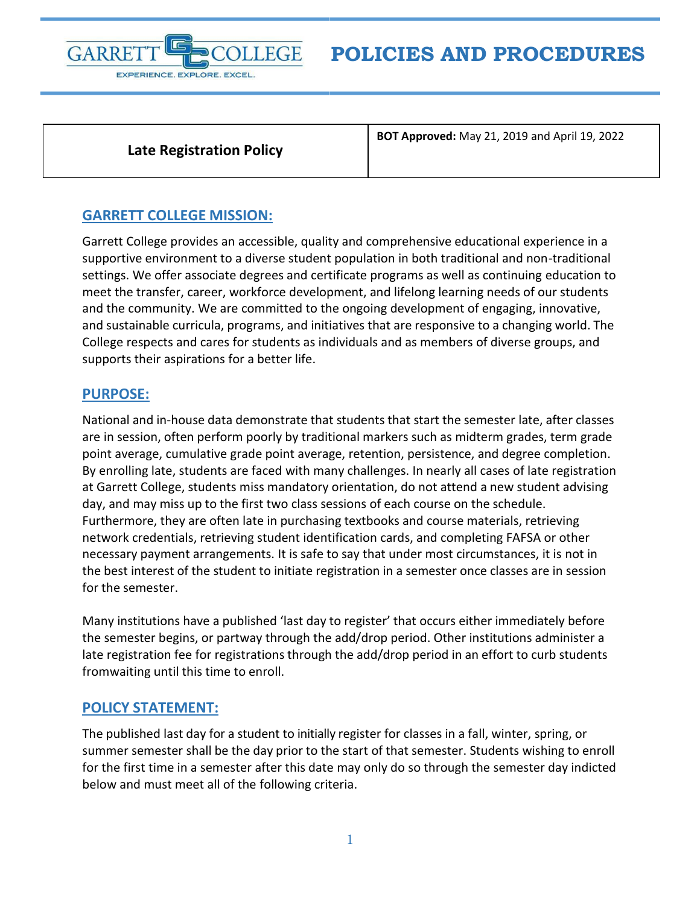

**Late Registration Policy**

**BOT Approved:** May 21, 2019 and April 19, 2022

## **GARRETT COLLEGE MISSION:**

Garrett College provides an accessible, quality and comprehensive educational experience in a supportive environment to a diverse student population in both traditional and non-traditional settings. We offer associate degrees and certificate programs as well as continuing education to meet the transfer, career, workforce development, and lifelong learning needs of our students and the community. We are committed to the ongoing development of engaging, innovative, and sustainable curricula, programs, and initiatives that are responsive to a changing world. The College respects and cares for students as individuals and as members of diverse groups, and supports their aspirations for a better life.

## **PURPOSE:**

National and in-house data demonstrate that students that start the semester late, after classes are in session, often perform poorly by traditional markers such as midterm grades, term grade point average, cumulative grade point average, retention, persistence, and degree completion. By enrolling late, students are faced with many challenges. In nearly all cases of late registration at Garrett College, students miss mandatory orientation, do not attend a new student advising day, and may miss up to the first two class sessions of each course on the schedule. Furthermore, they are often late in purchasing textbooks and course materials, retrieving network credentials, retrieving student identification cards, and completing FAFSA or other necessary payment arrangements. It is safe to say that under most circumstances, it is not in the best interest of the student to initiate registration in a semester once classes are in session for the semester.

Many institutions have a published 'last day to register' that occurs either immediately before the semester begins, or partway through the add/drop period. Other institutions administer a late registration fee for registrations through the add/drop period in an effort to curb students fromwaiting until this time to enroll.

## **POLICY STATEMENT:**

The published last day for a student to initially register for classes in a fall, winter, spring, or summer semester shall be the day prior to the start of that semester. Students wishing to enroll for the first time in a semester after this date may only do so through the semester day indicted below and must meet all of the following criteria.